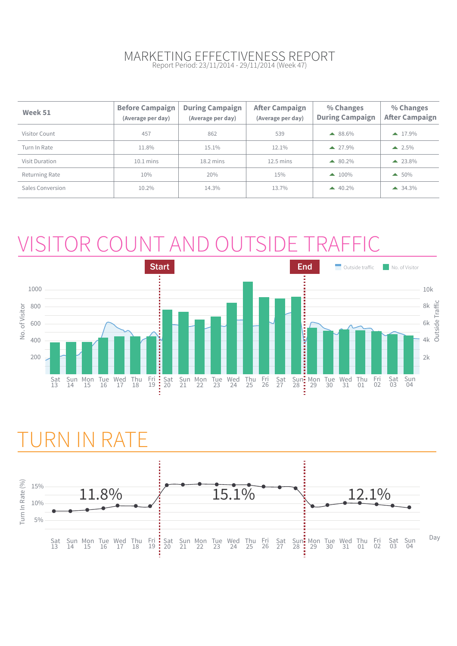#### MARKETING EFFECTIVENESS REPORT Report Period: 23/11/2014 - 29/11/2014 (Week 47)

| Week 51          | <b>Before Campaign</b><br>(Average per day) | <b>During Campaign</b><br>(Average per day) | <b>After Campaign</b><br>(Average per day) | % Changes<br><b>During Campaign</b> | % Changes<br><b>After Campaign</b> |
|------------------|---------------------------------------------|---------------------------------------------|--------------------------------------------|-------------------------------------|------------------------------------|
| Visitor Count    | 457                                         | 862                                         | 539                                        | $\triangle$ 88.6%                   | $\triangle$ 17.9%                  |
| Turn In Rate     | 11.8%                                       | 15.1%                                       | 12.1%                                      | $\triangle$ 27.9%                   | $-2.5\%$                           |
| Visit Duration   | $10.1$ mins                                 | $18.2 \text{ mins}$                         | $12.5 \text{ mins}$                        | $\triangle$ 80.2%                   | $\triangle$ 23.8%                  |
| Returning Rate   | 10%                                         | 20%                                         | 15%                                        | $\triangle$ 100%                    | $\triangle$ 50%                    |
| Sales Conversion | 10.2%                                       | 14.3%                                       | 13.7%                                      | $40.2\%$                            | $\triangle$ 34.3%                  |

# VISITOR COUNT AND OUTSIDE TRAFFIC



## RN IN RATE